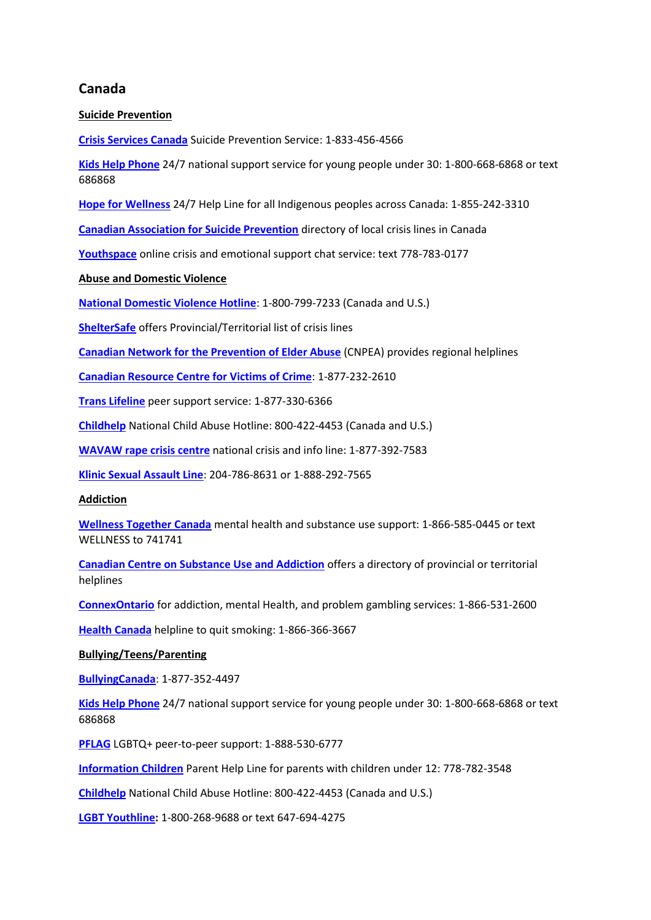# **Canada**

## **Suicide Prevention**

**[Crisis Services Canada](http://www.crisisservicescanada.ca/)** Suicide Prevention Service: 1-833-456-4566

**[Kids Help Phone](https://kidshelpphone.ca/)** 24/7 national support service for young people under 30: 1-800-668-6868 or text 686868

**[Hope for Wellness](https://www.hopeforwellness.ca/)** 24/7 Help Line for all Indigenous peoples across Canada: 1-855-242-3310

**[Canadian Association for Suicide Prevention](https://suicideprevention.ca/im-having-thoughts-of-suicide/)** directory of local crisis lines in Canada

**[Youthspace](https://www.youthspace.ca/)** online crisis and emotional support chat service: text 778-783-0177

# **Abuse and Domestic Violence**

**[National Domestic Violence Hotline](http://www.thehotline.org/)**: 1-800-799-7233 (Canada and U.S.)

**[ShelterSafe](https://sheltersafe.ca/find-help/)** offers Provincial/Territorial list of crisis lines

**[Canadian Network for the Prevention of Elder Abuse](https://cnpea.ca/en/what-is-elder-abuse/get-help)** (CNPEA) provides regional helplines

**[Canadian Resource Centre for Victims of Crime](https://crcvc.ca/how-we-help/victim-support/)**: 1-877-232-2610

**[Trans Lifeline](https://translifeline.org/hotline/)** peer support service: 1-877-330-6366

**[Childhelp](https://childhelphotline.org/)** National Child Abuse Hotline: 800-422-4453 (Canada and U.S.)

**[WAVAW rape crisis centre](https://www.wavaw.ca/get-support/)** national crisis and info line: 1-877-392-7583

**[Klinic Sexual Assault Line](http://klinic.mb.ca/in-person-counselling/sexual-assault-crisis-counselling/)**: 204-786-8631 or 1-888-292-7565

## **Addiction**

**[Wellness Together Canada](https://wellnesstogether.ca/en-CA/crisis)** mental health and substance use support: 1-866-585-0445 or text WELLNESS to 741741

**[Canadian Centre on Substance Use and Addiction](https://www.ccsa.ca/addictions-treatment-helplines-canada)** offers a directory of provincial or territorial helplines

**[ConnexOntario](https://www.connexontario.ca/en-ca/)** for addiction, mental Health, and problem gambling services: 1-866-531-2600

**[Health Canada](http://www.healthycanadians.gc.ca/healthy-living-vie-saine/tobacco-tabac/quit-cesser/help-someone-aider-quelquun/you-can-quit-vous-pouvez-cesser-eng.php)** helpline to quit smoking: 1-866-366-3667

# **Bullying/Teens/Parenting**

**[BullyingCanada](https://www.bullyingcanada.ca/get-help/)**: 1-877-352-4497

**[Kids Help Phone](https://kidshelpphone.ca/)** 24/7 national support service for young people under 30: 1-800-668-6868 or text 686868

**[PFLAG](https://pflagcanada.ca/get-help/)** LGBTQ+ peer-to-peer support: 1-888-530-6777

**[Information Children](http://www.informationchildren.com/parent-support/parent-helpline/)** Parent Help Line for parents with children under 12: 778-782-3548

**[Childhelp](https://childhelphotline.org/)** National Child Abuse Hotline: 800-422-4453 (Canada and U.S.)

**[LGBT Youthline:](https://www.youthline.ca/get-support/ways-we-support/)** 1-800-268-9688 or text 647-694-4275